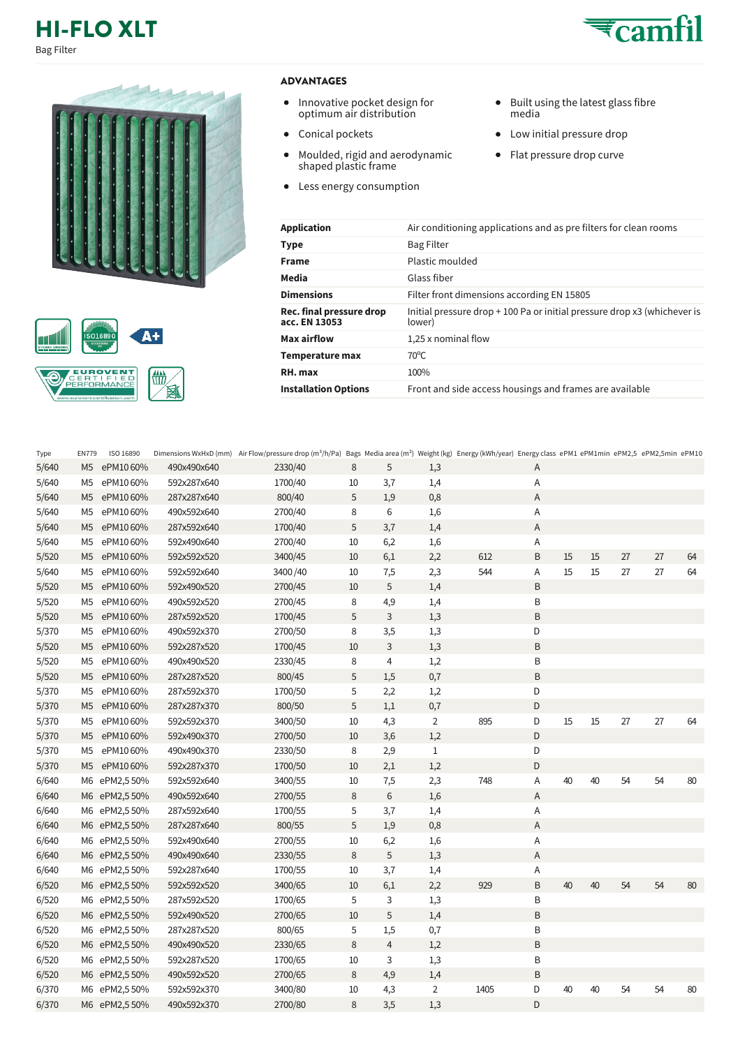## **HI-FLO XLT** Bag Filter





## **ADVANTAGES**

- Innovative pocket design for optimum air distribution
- Conical pockets
- $\bullet$ Moulded, rigid and aerodynamic shaped plastic frame
- Less energy consumption
- Built using the latest glass fibre media
- Low initial pressure drop
- Flat pressure drop curve

| Application                               | Air conditioning applications and as prefilters for clean rooms                    |
|-------------------------------------------|------------------------------------------------------------------------------------|
| Type                                      | <b>Bag Filter</b>                                                                  |
| <b>Frame</b>                              | Plastic moulded                                                                    |
| Media                                     | Glass fiber                                                                        |
| <b>Dimensions</b>                         | Filter front dimensions according EN 15805                                         |
| Rec. final pressure drop<br>acc. EN 13053 | Initial pressure drop + 100 Pa or initial pressure drop x3 (whichever is<br>lower) |
| Max airflow                               | 1,25 x nominal flow                                                                |
| Temperature max                           | $70^{\circ}$ C                                                                     |
| RH. max                                   | 100%                                                                               |
| <b>Installation Options</b>               | Front and side access housings and frames are available                            |
|                                           |                                                                                    |

| Type  | <b>EN779</b>   | ISO 16890    |             | Dimensions WxHxD (mm) Air Flow/pressure drop (m <sup>3</sup> /h/Pa) Bags Media area (m <sup>2</sup> ) Weight (kg) Energy (kWh/year) Energy class ePM1 ePM1min ePM2,5 ePM2,5min ePM10 |    |                |                |      |   |    |    |    |    |    |
|-------|----------------|--------------|-------------|--------------------------------------------------------------------------------------------------------------------------------------------------------------------------------------|----|----------------|----------------|------|---|----|----|----|----|----|
| 5/640 | M <sub>5</sub> | ePM1060%     | 490x490x640 | 2330/40                                                                                                                                                                              | 8  | 5              | 1,3            |      | A |    |    |    |    |    |
| 5/640 | M <sub>5</sub> | ePM1060%     | 592x287x640 | 1700/40                                                                                                                                                                              | 10 | 3,7            | 1,4            |      | Α |    |    |    |    |    |
| 5/640 | M <sub>5</sub> | ePM1060%     | 287x287x640 | 800/40                                                                                                                                                                               | 5  | 1,9            | 0,8            |      | Α |    |    |    |    |    |
| 5/640 | M <sub>5</sub> | ePM1060%     | 490x592x640 | 2700/40                                                                                                                                                                              | 8  | 6              | 1,6            |      | Α |    |    |    |    |    |
| 5/640 | M <sub>5</sub> | ePM1060%     | 287x592x640 | 1700/40                                                                                                                                                                              | 5  | 3,7            | 1,4            |      | Α |    |    |    |    |    |
| 5/640 | M5             | ePM1060%     | 592x490x640 | 2700/40                                                                                                                                                                              | 10 | 6,2            | 1,6            |      | Α |    |    |    |    |    |
| 5/520 | M <sub>5</sub> | ePM1060%     | 592x592x520 | 3400/45                                                                                                                                                                              | 10 | 6,1            | 2,2            | 612  | B | 15 | 15 | 27 | 27 | 64 |
| 5/640 | M <sub>5</sub> | ePM1060%     | 592x592x640 | 3400/40                                                                                                                                                                              | 10 | 7,5            | 2,3            | 544  | Α | 15 | 15 | 27 | 27 | 64 |
| 5/520 | M <sub>5</sub> | ePM1060%     | 592x490x520 | 2700/45                                                                                                                                                                              | 10 | 5              | 1,4            |      | B |    |    |    |    |    |
| 5/520 | M5             | ePM1060%     | 490x592x520 | 2700/45                                                                                                                                                                              | 8  | 4,9            | 1,4            |      | B |    |    |    |    |    |
| 5/520 | M <sub>5</sub> | ePM1060%     | 287x592x520 | 1700/45                                                                                                                                                                              | 5  | 3              | 1,3            |      | B |    |    |    |    |    |
| 5/370 | M <sub>5</sub> | ePM1060%     | 490x592x370 | 2700/50                                                                                                                                                                              | 8  | 3,5            | 1,3            |      | D |    |    |    |    |    |
| 5/520 | M <sub>5</sub> | ePM1060%     | 592x287x520 | 1700/45                                                                                                                                                                              | 10 | 3              | 1,3            |      | B |    |    |    |    |    |
| 5/520 | M <sub>5</sub> | ePM1060%     | 490x490x520 | 2330/45                                                                                                                                                                              | 8  | 4              | 1,2            |      | B |    |    |    |    |    |
| 5/520 | M <sub>5</sub> | ePM1060%     | 287x287x520 | 800/45                                                                                                                                                                               | 5  | 1,5            | 0,7            |      | B |    |    |    |    |    |
| 5/370 | M <sub>5</sub> | ePM1060%     | 287x592x370 | 1700/50                                                                                                                                                                              | 5  | 2,2            | 1,2            |      | D |    |    |    |    |    |
| 5/370 | M <sub>5</sub> | ePM1060%     | 287x287x370 | 800/50                                                                                                                                                                               | 5  | 1,1            | 0,7            |      | D |    |    |    |    |    |
| 5/370 | M5             | ePM1060%     | 592x592x370 | 3400/50                                                                                                                                                                              | 10 | 4,3            | 2              | 895  | D | 15 | 15 | 27 | 27 | 64 |
| 5/370 | M <sub>5</sub> | ePM1060%     | 592x490x370 | 2700/50                                                                                                                                                                              | 10 | 3,6            | 1,2            |      | D |    |    |    |    |    |
| 5/370 | M <sub>5</sub> | ePM1060%     | 490x490x370 | 2330/50                                                                                                                                                                              | 8  | 2,9            | $\mathbf{1}$   |      | D |    |    |    |    |    |
| 5/370 | M <sub>5</sub> | ePM1060%     | 592x287x370 | 1700/50                                                                                                                                                                              | 10 | 2,1            | 1,2            |      | D |    |    |    |    |    |
| 6/640 | M6             | ePM2,550%    | 592x592x640 | 3400/55                                                                                                                                                                              | 10 | 7,5            | 2,3            | 748  | Α | 40 | 40 | 54 | 54 | 80 |
| 6/640 | M6             | ePM2,550%    | 490x592x640 | 2700/55                                                                                                                                                                              | 8  | 6              | 1,6            |      | Α |    |    |    |    |    |
| 6/640 | M6             | ePM2,5 50%   | 287x592x640 | 1700/55                                                                                                                                                                              | 5  | 3,7            | 1,4            |      | Α |    |    |    |    |    |
| 6/640 | M <sub>6</sub> | ePM2,550%    | 287x287x640 | 800/55                                                                                                                                                                               | 5  | 1,9            | 0,8            |      | Α |    |    |    |    |    |
| 6/640 | M6             | ePM2,550%    | 592x490x640 | 2700/55                                                                                                                                                                              | 10 | 6,2            | 1,6            |      | Α |    |    |    |    |    |
| 6/640 | M6             | ePM2,550%    | 490x490x640 | 2330/55                                                                                                                                                                              | 8  | 5              | 1,3            |      | Α |    |    |    |    |    |
| 6/640 | M6             | ePM2,5 50%   | 592x287x640 | 1700/55                                                                                                                                                                              | 10 | 3,7            | 1,4            |      | Α |    |    |    |    |    |
| 6/520 | M6             | ePM2,550%    | 592x592x520 | 3400/65                                                                                                                                                                              | 10 | 6,1            | 2,2            | 929  | B | 40 | 40 | 54 | 54 | 80 |
| 6/520 | M6             | ePM2,550%    | 287x592x520 | 1700/65                                                                                                                                                                              | 5  | 3              | 1,3            |      | B |    |    |    |    |    |
| 6/520 | M6             | ePM2,5 50%   | 592x490x520 | 2700/65                                                                                                                                                                              | 10 | 5              | 1,4            |      | B |    |    |    |    |    |
| 6/520 | M6             | ePM2,550%    | 287x287x520 | 800/65                                                                                                                                                                               | 5  | 1,5            | 0,7            |      | B |    |    |    |    |    |
| 6/520 | M6             | ePM2,550%    | 490x490x520 | 2330/65                                                                                                                                                                              | 8  | $\overline{4}$ | 1,2            |      | B |    |    |    |    |    |
| 6/520 | M6             | ePM2,5 50%   | 592x287x520 | 1700/65                                                                                                                                                                              | 10 | 3              | 1,3            |      | B |    |    |    |    |    |
| 6/520 |                | M6 ePM2,550% | 490x592x520 | 2700/65                                                                                                                                                                              | 8  | 4,9            | 1,4            |      | B |    |    |    |    |    |
| 6/370 | M6             | ePM2,5 50%   | 592x592x370 | 3400/80                                                                                                                                                                              | 10 | 4,3            | $\overline{2}$ | 1405 | D | 40 | 40 | 54 | 54 | 80 |
| 6/370 |                | M6 ePM2,550% | 490x592x370 | 2700/80                                                                                                                                                                              | 8  | 3,5            | 1,3            |      | D |    |    |    |    |    |

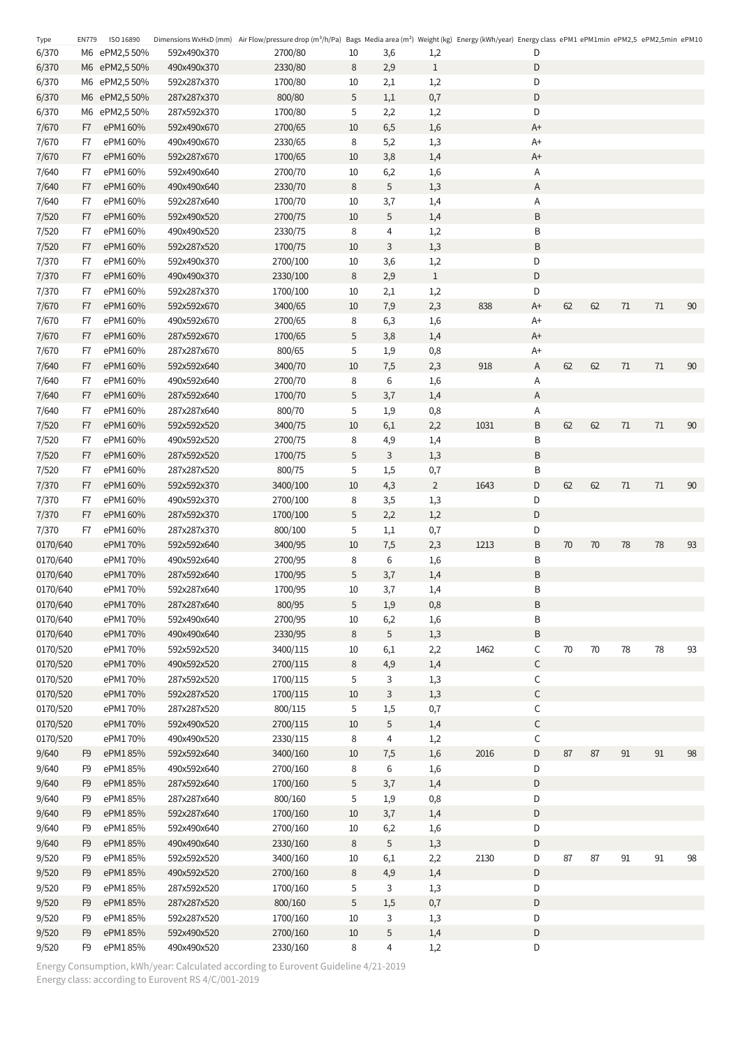| Type     | <b>EN779</b>   | ISO 16890    |             | Dimensions WxHxD (mm) Air Flow/pressure drop (m <sup>3</sup> /h/Pa) Bags Media area (m <sup>2</sup> ) Weight (kg) Energy (kWh/year) Energy class ePM1 ePM1min ePM2,5 ePM2,5 min ePM10 |             |     |                |      |             |        |    |                            |               |    |
|----------|----------------|--------------|-------------|---------------------------------------------------------------------------------------------------------------------------------------------------------------------------------------|-------------|-----|----------------|------|-------------|--------|----|----------------------------|---------------|----|
| 6/370    |                | M6 ePM2,550% | 592x490x370 | 2700/80                                                                                                                                                                               | 10          | 3,6 | 1,2            |      | D           |        |    |                            |               |    |
| 6/370    |                | M6 ePM2,550% | 490x490x370 | 2330/80                                                                                                                                                                               | $\,8\,$     | 2,9 | $\mathbf{1}$   |      | D           |        |    |                            |               |    |
| 6/370    |                | M6 ePM2,550% | 592x287x370 | 1700/80                                                                                                                                                                               | 10          | 2,1 | 1,2            |      | D           |        |    |                            |               |    |
| 6/370    |                | M6 ePM2,550% | 287x287x370 | 800/80                                                                                                                                                                                | 5           | 1,1 | 0,7            |      | D           |        |    |                            |               |    |
| 6/370    |                | M6 ePM2,550% | 287x592x370 | 1700/80                                                                                                                                                                               | 5           | 2,2 | 1,2            |      | D           |        |    |                            |               |    |
| 7/670    | F7             | ePM1 60%     | 592x490x670 | 2700/65                                                                                                                                                                               | 10          | 6,5 | 1,6            |      | A+          |        |    |                            |               |    |
| 7/670    | F7             | ePM1 60%     | 490x490x670 | 2330/65                                                                                                                                                                               | 8           | 5,2 | 1,3            |      | $A+$        |        |    |                            |               |    |
| 7/670    | F7             | ePM1 60%     | 592x287x670 | 1700/65                                                                                                                                                                               | 10          | 3,8 | 1,4            |      | A+          |        |    |                            |               |    |
| 7/640    | F7             | ePM1 60%     | 592x490x640 | 2700/70                                                                                                                                                                               | 10          | 6,2 | 1,6            |      | Α           |        |    |                            |               |    |
| 7/640    | F7             | ePM1 60%     | 490x490x640 | 2330/70                                                                                                                                                                               | $\,8\,$     | 5   | 1,3            |      | A           |        |    |                            |               |    |
| 7/640    | F7             | ePM1 60%     | 592x287x640 | 1700/70                                                                                                                                                                               | 10          | 3,7 | 1,4            |      | Α           |        |    |                            |               |    |
| 7/520    | F7             | ePM1 60%     | 592x490x520 | 2700/75                                                                                                                                                                               | 10          | 5   | 1,4            |      | Β           |        |    |                            |               |    |
| 7/520    | F7             | ePM1 60%     | 490x490x520 | 2330/75                                                                                                                                                                               | 8           | 4   | 1,2            |      | Β           |        |    |                            |               |    |
| 7/520    | F7             | ePM1 60%     | 592x287x520 | 1700/75                                                                                                                                                                               | 10          | 3   | 1,3            |      | Β           |        |    |                            |               |    |
| 7/370    | F7             | ePM1 60%     | 592x490x370 | 2700/100                                                                                                                                                                              | 10          | 3,6 | 1,2            |      | D           |        |    |                            |               |    |
| 7/370    | F7             | ePM1 60%     | 490x490x370 | 2330/100                                                                                                                                                                              | $\,8\,$     | 2,9 | $\mathbf{1}$   |      | D           |        |    |                            |               |    |
| 7/370    | F7             | ePM1 60%     | 592x287x370 | 1700/100                                                                                                                                                                              | 10          | 2,1 | 1,2            |      | D           |        |    |                            |               |    |
| 7/670    | F7             | ePM1 60%     | 592x592x670 | 3400/65                                                                                                                                                                               | 10          | 7,9 | 2,3            | 838  | $A+$        | 62     | 62 | 71                         | 71            | 90 |
| 7/670    | F7             | ePM1 60%     | 490x592x670 | 2700/65                                                                                                                                                                               | 8           | 6,3 | 1,6            |      | A+          |        |    |                            |               |    |
| 7/670    | F7             | ePM1 60%     | 287x592x670 | 1700/65                                                                                                                                                                               | $\mathsf S$ | 3,8 | 1,4            |      | $A+$        |        |    |                            |               |    |
| 7/670    | F7             | ePM1 60%     | 287x287x670 | 800/65                                                                                                                                                                                | 5           | 1,9 | 0,8            |      | A+          |        |    |                            |               |    |
|          |                | ePM1 60%     |             |                                                                                                                                                                                       |             |     |                | 918  |             | 62     | 62 | $71\,$                     | 71            | 90 |
| 7/640    | F7             |              | 592x592x640 | 3400/70                                                                                                                                                                               | 10          | 7,5 | 2,3            |      | Α           |        |    |                            |               |    |
| 7/640    | F7             | ePM1 60%     | 490x592x640 | 2700/70                                                                                                                                                                               | 8           | 6   | 1,6            |      | Α           |        |    |                            |               |    |
| 7/640    | F7             | ePM1 60%     | 287x592x640 | 1700/70                                                                                                                                                                               | 5           | 3,7 | 1,4            |      | Α           |        |    |                            |               |    |
| 7/640    | F7             | ePM1 60%     | 287x287x640 | 800/70                                                                                                                                                                                | 5           | 1,9 | 0,8            |      | Α           |        |    |                            |               |    |
| 7/520    | F7             | ePM1 60%     | 592x592x520 | 3400/75                                                                                                                                                                               | 10          | 6,1 | 2,2            | 1031 | Β           | 62     | 62 | $71\,$                     | 71            | 90 |
| 7/520    | F7             | ePM1 60%     | 490x592x520 | 2700/75                                                                                                                                                                               | 8           | 4,9 | 1,4            |      | Β           |        |    |                            |               |    |
| 7/520    | F7             | ePM1 60%     | 287x592x520 | 1700/75                                                                                                                                                                               | 5           | 3   | 1,3            |      | Β           |        |    |                            |               |    |
| 7/520    | F7             | ePM1 60%     | 287x287x520 | 800/75                                                                                                                                                                                | 5           | 1,5 | 0,7            |      | В           |        |    |                            |               |    |
| 7/370    | F7             | ePM1 60%     | 592x592x370 | 3400/100                                                                                                                                                                              | 10          | 4,3 | $\overline{2}$ | 1643 | D           | 62     | 62 | 71                         | $71$          | 90 |
| 7/370    | F7             | ePM1 60%     | 490x592x370 | 2700/100                                                                                                                                                                              | 8           | 3,5 | 1,3            |      | D           |        |    |                            |               |    |
| 7/370    | F7             | ePM160%      | 287x592x370 | 1700/100                                                                                                                                                                              | $\mathsf S$ | 2,2 | 1,2            |      | D           |        |    |                            |               |    |
| 7/370    | F7             | ePM1 60%     | 287x287x370 | 800/100                                                                                                                                                                               | 5           | 1,1 | 0,7            |      | D           |        |    |                            |               |    |
| 0170/640 |                | ePM170%      | 592x592x640 | 3400/95                                                                                                                                                                               | 10          | 7,5 | 2,3            | 1213 | Β           | 70     | 70 | 78                         | 78            | 93 |
| 0170/640 |                | ePM170%      | 490x592x640 | 2700/95                                                                                                                                                                               | 8           | 6   | 1,6            |      | Β           |        |    |                            |               |    |
| 0170/640 |                | ePM170%      | 287x592x640 | 1700/95                                                                                                                                                                               | 5           | 3,7 | 1,4            |      | B           |        |    |                            |               |    |
| 0170/640 |                | ePM170%      | 592x287x640 | 1700/95                                                                                                                                                                               | 10          | 3,7 | 1,4            |      | Β           |        |    |                            |               |    |
| 0170/640 |                | ePM170%      | 287x287x640 | 800/95                                                                                                                                                                                | $\mathsf S$ | 1,9 | 0,8            |      | B           |        |    |                            |               |    |
| 0170/640 |                | ePM170%      | 592x490x640 | 2700/95                                                                                                                                                                               | 10          | 6,2 | 1,6            |      | Β           |        |    |                            |               |    |
| 0170/640 |                | ePM170%      | 490x490x640 | 2330/95                                                                                                                                                                               | $\,8\,$     | 5   | 1,3            |      | B           |        |    |                            |               |    |
| 0170/520 |                | ePM170%      | 592x592x520 | 3400/115                                                                                                                                                                              | 10          | 6,1 | 2,2            | 1462 | C           | $70\,$ | 70 | $78\,$                     | $78\,$        | 93 |
| 0170/520 |                | ePM170%      | 490x592x520 | 2700/115                                                                                                                                                                              | $\,8\,$     | 4,9 | 1,4            |      | $\mathsf C$ |        |    |                            |               |    |
| 0170/520 |                | ePM170%      | 287x592x520 | 1700/115                                                                                                                                                                              | 5           | 3   | 1,3            |      | $\mathsf C$ |        |    |                            |               |    |
| 0170/520 |                | ePM170%      | 592x287x520 | 1700/115                                                                                                                                                                              | $10\,$      | 3   | 1,3            |      | $\mathsf C$ |        |    |                            |               |    |
| 0170/520 |                | ePM170%      | 287x287x520 | 800/115                                                                                                                                                                               | 5           | 1,5 | 0,7            |      | $\mathsf C$ |        |    |                            |               |    |
| 0170/520 |                | ePM170%      | 592x490x520 | 2700/115                                                                                                                                                                              | $10\,$      | 5   | 1,4            |      | $\mathsf C$ |        |    |                            |               |    |
| 0170/520 |                | ePM170%      | 490x490x520 | 2330/115                                                                                                                                                                              | 8           | 4   | 1,2            |      | С           |        |    |                            |               |    |
| 9/640    | F <sub>9</sub> | ePM185%      | 592x592x640 | 3400/160                                                                                                                                                                              | 10          | 7,5 | 1,6            | 2016 | D           | 87     | 87 | $91\,$                     | $\mathsf{91}$ | 98 |
| 9/640    | F9             | ePM185%      | 490x592x640 | 2700/160                                                                                                                                                                              | 8           | 6   | 1,6            |      | D           |        |    |                            |               |    |
| 9/640    | F <sub>9</sub> | ePM185%      | 287x592x640 | 1700/160                                                                                                                                                                              | 5           | 3,7 | 1,4            |      | D           |        |    |                            |               |    |
| 9/640    | F <sub>9</sub> | ePM185%      | 287x287x640 | 800/160                                                                                                                                                                               | 5           | 1,9 | $0,8$          |      | D           |        |    |                            |               |    |
|          | F <sub>9</sub> | ePM185%      |             |                                                                                                                                                                                       |             |     |                |      |             |        |    |                            |               |    |
| 9/640    |                |              | 592x287x640 | 1700/160                                                                                                                                                                              | 10          | 3,7 | 1,4            |      | D           |        |    |                            |               |    |
| 9/640    | F <sub>9</sub> | ePM185%      | 592x490x640 | 2700/160                                                                                                                                                                              | 10          | 6,2 | $1,6$          |      | D           |        |    |                            |               |    |
| 9/640    | F <sub>9</sub> | ePM185%      | 490x490x640 | 2330/160                                                                                                                                                                              | $\,8\,$     | 5   | 1,3            |      | D           |        |    |                            |               |    |
| 9/520    | F9             | ePM185%      | 592x592x520 | 3400/160                                                                                                                                                                              | $10$        | 6,1 | 2,2            | 2130 | D           | $87\,$ | 87 | $\ensuremath{\mathsf{91}}$ | $91\,$        | 98 |
| 9/520    | F <sub>9</sub> | ePM185%      | 490x592x520 | 2700/160                                                                                                                                                                              | $\,8\,$     | 4,9 | 1,4            |      | D           |        |    |                            |               |    |
| 9/520    | F <sub>9</sub> | ePM185%      | 287x592x520 | 1700/160                                                                                                                                                                              | 5           | 3   | 1,3            |      | D           |        |    |                            |               |    |
| 9/520    | F <sub>9</sub> | ePM185%      | 287x287x520 | 800/160                                                                                                                                                                               | $\mathsf S$ | 1,5 | 0,7            |      | D           |        |    |                            |               |    |
| 9/520    | F9             | ePM185%      | 592x287x520 | 1700/160                                                                                                                                                                              | 10          | 3   | 1,3            |      | D           |        |    |                            |               |    |
| 9/520    | F <sub>9</sub> | ePM185%      | 592x490x520 | 2700/160                                                                                                                                                                              | $10\,$      | 5   | 1,4            |      | D           |        |    |                            |               |    |
| 9/520    | F <sub>9</sub> | ePM185%      | 490x490x520 | 2330/160                                                                                                                                                                              | 8           | 4   | 1,2            |      | D           |        |    |                            |               |    |

Energy Consumption, kWh/year: Calculated according to Eurovent Guideline 4/21-2019 Energy class: according to Eurovent RS 4/C/001-2019